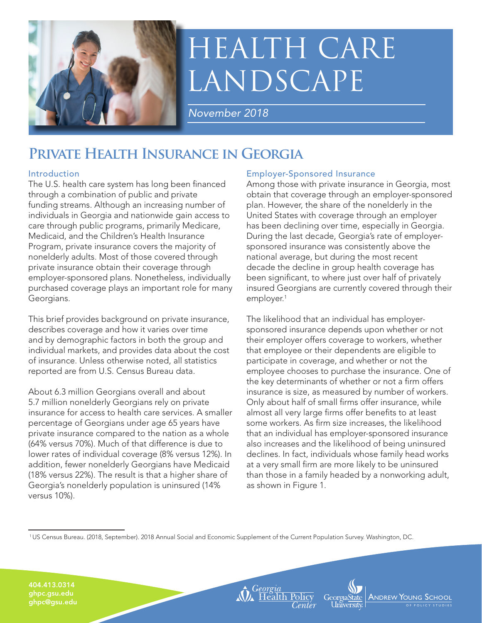

# HEALTH CARE LANDSCAPE

*November 2018*

## **Private Health Insurance in Georgia**

#### Introduction

The U.S. health care system has long been financed through a combination of public and private funding streams. Although an increasing number of individuals in Georgia and nationwide gain access to care through public programs, primarily Medicare, Medicaid, and the Children's Health Insurance Program, private insurance covers the majority of nonelderly adults. Most of those covered through private insurance obtain their coverage through employer-sponsored plans. Nonetheless, individually purchased coverage plays an important role for many Georgians.

This brief provides background on private insurance, describes coverage and how it varies over time and by demographic factors in both the group and individual markets, and provides data about the cost of insurance. Unless otherwise noted, all statistics reported are from U.S. Census Bureau data.

About 6.3 million Georgians overall and about 5.7 million nonelderly Georgians rely on private insurance for access to health care services. A smaller percentage of Georgians under age 65 years have private insurance compared to the nation as a whole (64% versus 70%). Much of that difference is due to lower rates of individual coverage (8% versus 12%). In addition, fewer nonelderly Georgians have Medicaid (18% versus 22%). The result is that a higher share of Georgia's nonelderly population is uninsured (14% versus 10%).

#### Employer-Sponsored Insurance

Among those with private insurance in Georgia, most obtain that coverage through an employer-sponsored plan. However, the share of the nonelderly in the United States with coverage through an employer has been declining over time, especially in Georgia. During the last decade, Georgia's rate of employersponsored insurance was consistently above the national average, but during the most recent decade the decline in group health coverage has been significant, to where just over half of privately insured Georgians are currently covered through their employer.<sup>1</sup>

The likelihood that an individual has employersponsored insurance depends upon whether or not their employer offers coverage to workers, whether that employee or their dependents are eligible to participate in coverage, and whether or not the employee chooses to purchase the insurance. One of the key determinants of whether or not a firm offers insurance is size, as measured by number of workers. Only about half of small firms offer insurance, while almost all very large firms offer benefits to at least some workers. As firm size increases, the likelihood that an individual has employer-sponsored insurance also increases and the likelihood of being uninsured declines. In fact, individuals whose family head works at a very small firm are more likely to be uninsured than those in a family headed by a nonworking adult, as shown in Figure 1.

ANDREW YOUNG SO

O F POLICY STUDIE S

1 US Census Bureau. (2018, September). 2018 Annual Social and Economic Supplement of the Current Population Survey. Washington, DC.

**A** Georgia<br>**A** Health Policy

404.413.0314 ghpc.gsu.edu ghpc@gsu.edu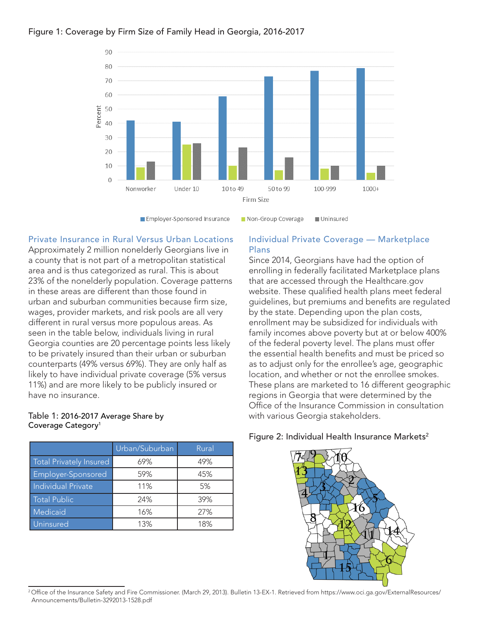



Employer-Sponsored Insurance

**Uninsured** Non-Group Coverage

#### Private Insurance in Rural Versus Urban Locations

Approximately 2 million nonelderly Georgians live in a county that is not part of a metropolitan statistical area and is thus categorized as rural. This is about 23% of the nonelderly population. Coverage patterns in these areas are different than those found in urban and suburban communities because firm size, wages, provider markets, and risk pools are all very different in rural versus more populous areas. As seen in the table below, individuals living in rural Georgia counties are 20 percentage points less likely to be privately insured than their urban or suburban counterparts (49% versus 69%). They are only half as likely to have individual private coverage (5% versus 11%) and are more likely to be publicly insured or have no insurance.

#### Table 1: 2016-2017 Average Share by Coverage Category<sup>1</sup>

|                           | Urban/Suburban | Rural |
|---------------------------|----------------|-------|
| Total Privately Insured   | 69%            | 49%   |
| Employer-Sponsored        | 59%            | 45%   |
| <b>Individual Private</b> | 11%            | 5%    |
| <b>Total Public</b>       | 24%            | 39%   |
| Medicaid                  | 16%            | 27%   |
| Uninsured                 | 13%            | 18%   |

#### Individual Private Coverage — Marketplace Plans

Since 2014, Georgians have had the option of enrolling in federally facilitated Marketplace plans that are accessed through the Healthcare.gov website. These qualified health plans meet federal guidelines, but premiums and benefits are regulated by the state. Depending upon the plan costs, enrollment may be subsidized for individuals with family incomes above poverty but at or below 400% of the federal poverty level. The plans must offer the essential health benefits and must be priced so as to adjust only for the enrollee's age, geographic location, and whether or not the enrollee smokes. These plans are marketed to 16 different geographic regions in Georgia that were determined by the Office of the Insurance Commission in consultation with various Georgia stakeholders.

#### Figure 2: Individual Health Insurance Markets<sup>2</sup>



<sup>&</sup>lt;sup>2</sup> Office of the Insurance Safety and Fire Commissioner. (March 29, 2013). Bulletin 13-EX-1. Retrieved from https://www.oci.ga.gov/ExternalResources/ Announcements/Bulletin-3292013-1528.pdf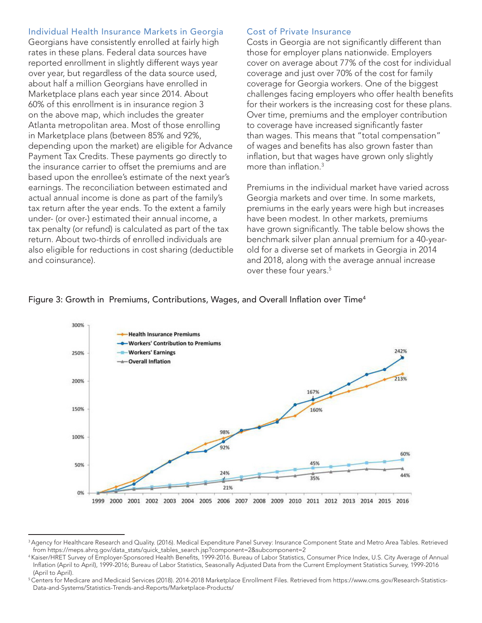#### Individual Health Insurance Markets in Georgia

Georgians have consistently enrolled at fairly high rates in these plans. Federal data sources have reported enrollment in slightly different ways year over year, but regardless of the data source used, about half a million Georgians have enrolled in Marketplace plans each year since 2014. About 60% of this enrollment is in insurance region 3 on the above map, which includes the greater Atlanta metropolitan area. Most of those enrolling in Marketplace plans (between 85% and 92%, depending upon the market) are eligible for Advance Payment Tax Credits. These payments go directly to the insurance carrier to offset the premiums and are based upon the enrollee's estimate of the next year's earnings. The reconciliation between estimated and actual annual income is done as part of the family's tax return after the year ends. To the extent a family under- (or over-) estimated their annual income, a tax penalty (or refund) is calculated as part of the tax return. About two-thirds of enrolled individuals are also eligible for reductions in cost sharing (deductible and coinsurance).

#### Cost of Private Insurance

Costs in Georgia are not significantly different than those for employer plans nationwide. Employers cover on average about 77% of the cost for individual coverage and just over 70% of the cost for family coverage for Georgia workers. One of the biggest challenges facing employers who offer health benefits for their workers is the increasing cost for these plans. Over time, premiums and the employer contribution to coverage have increased significantly faster than wages. This means that "total compensation" of wages and benefits has also grown faster than inflation, but that wages have grown only slightly more than inflation  $3$ 

Premiums in the individual market have varied across Georgia markets and over time. In some markets, premiums in the early years were high but increases have been modest. In other markets, premiums have grown significantly. The table below shows the benchmark silver plan annual premium for a 40-yearold for a diverse set of markets in Georgia in 2014 and 2018, along with the average annual increase over these four years.<sup>5</sup>

#### Figure 3: Growth in Premiums, Contributions, Wages, and Overall Inflation over Time<sup>4</sup>



<sup>3</sup> Agency for Healthcare Research and Quality. (2016). Medical Expenditure Panel Survey: Insurance Component State and Metro Area Tables. Retrieved from https://meps.ahrq.gov/data\_stats/quick\_tables\_search.jsp?component=2&subcomponent=2

<sup>4</sup> Kaiser/HRET Survey of Employer-Sponsored Health Benefits, 1999-2016. Bureau of Labor Statistics, Consumer Price Index, U.S. City Average of Annual Inflation (April to April), 1999-2016; Bureau of Labor Statistics, Seasonally Adjusted Data from the Current Employment Statistics Survey, 1999-2016 (April to April).

<sup>&</sup>lt;sup>5</sup> Centers for Medicare and Medicaid Services (2018). 2014-2018 Marketplace Enrollment Files. Retrieved from https://www.cms.gov/Research-Statistics-Data-and-Systems/Statistics-Trends-and-Reports/Marketplace-Products/